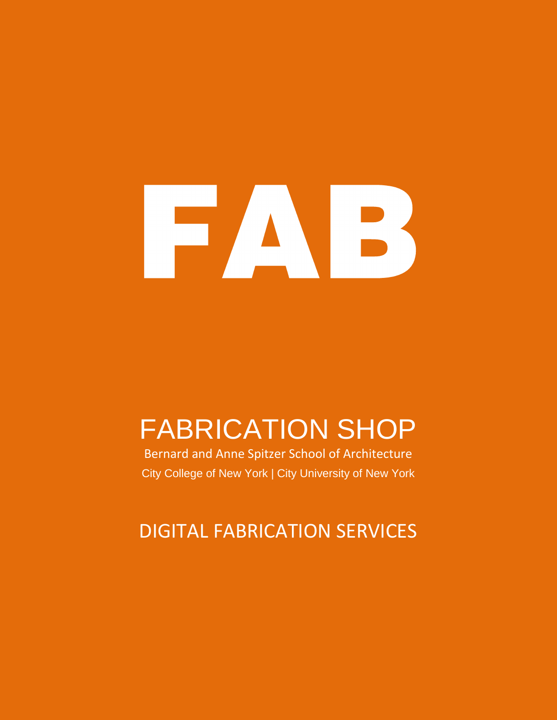

# FABRICATION SHOP

Bernard and Anne Spitzer School of Architecture City College of New York | City University of New York

# DIGITAL FABRICATION SERVICES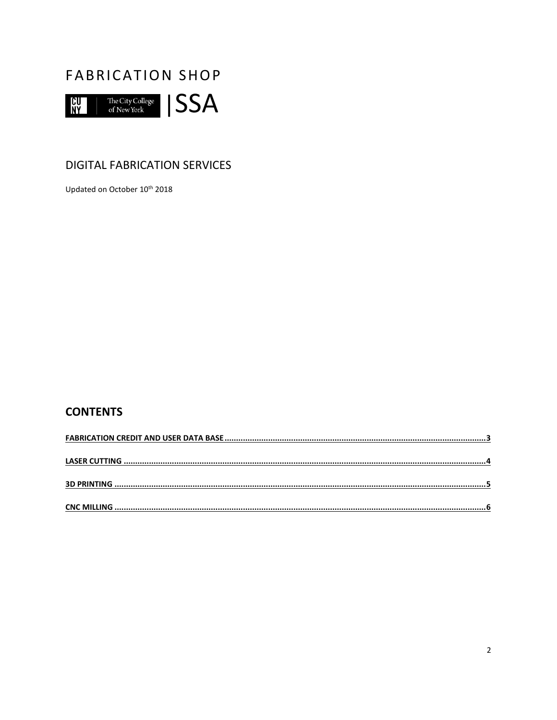

### **DIGITAL FABRICATION SERVICES**

Updated on October 10th 2018

## **CONTENTS**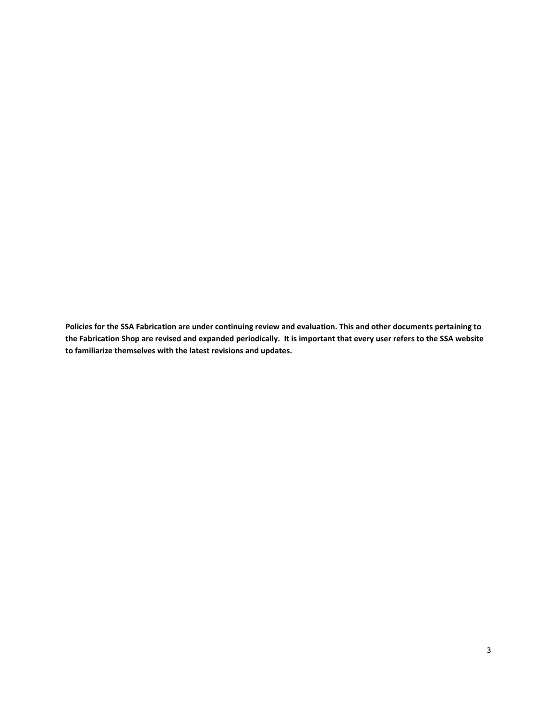<span id="page-2-0"></span>**Policies for the SSA Fabrication are under continuing review and evaluation. This and other documents pertaining to the Fabrication Shop are revised and expanded periodically. It is important that every user refers to the SSA website to familiarize themselves with the latest revisions and updates.**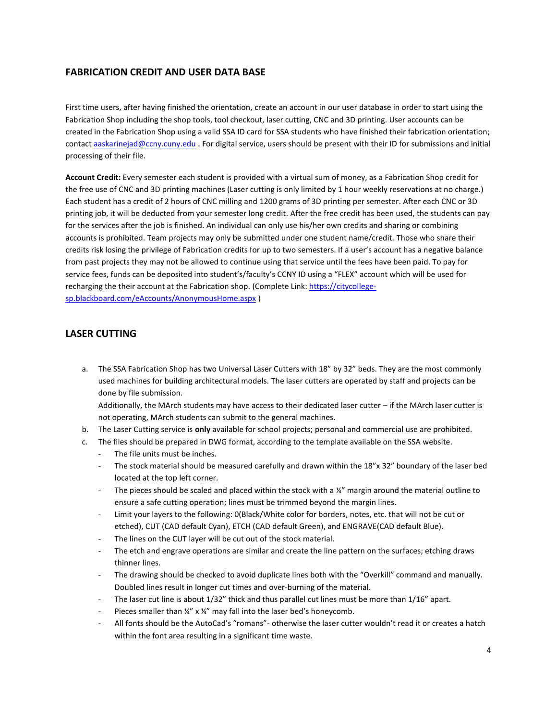#### **FABRICATION CREDIT AND USER DATA BASE**

First time users, after having finished the orientation, create an account in our user database in order to start using the Fabrication Shop including the shop tools, tool checkout, laser cutting, CNC and 3D printing. User accounts can be created in the Fabrication Shop using a valid SSA ID card for SSA students who have finished their fabrication orientation; contact [aaskarinejad@ccny.cuny.edu](mailto:aaskarinejad@ccny.cuny.edu) . For digital service, users should be present with their ID for submissions and initial processing of their file.

**Account Credit:** Every semester each student is provided with a virtual sum of money, as a Fabrication Shop credit for the free use of CNC and 3D printing machines (Laser cutting is only limited by 1 hour weekly reservations at no charge.) Each student has a credit of 2 hours of CNC milling and 1200 grams of 3D printing per semester. After each CNC or 3D printing job, it will be deducted from your semester long credit. After the free credit has been used, the students can pay for the services after the job is finished. An individual can only use his/her own credits and sharing or combining accounts is prohibited. Team projects may only be submitted under one student name/credit. Those who share their credits risk losing the privilege of Fabrication credits for up to two semesters. If a user's account has a negative balance from past projects they may not be allowed to continue using that service until the fees have been paid. To pay for service fees, funds can be deposited into student's/faculty's CCNY ID using a "FLEX" account which will be used for recharging the their account at the Fabrication shop. (Complete Link: [https://citycollege](https://citycollege-sp.blackboard.com/eAccounts/AnonymousHome.aspx)[sp.blackboard.com/eAccounts/AnonymousHome.aspx](https://citycollege-sp.blackboard.com/eAccounts/AnonymousHome.aspx) )

#### <span id="page-3-0"></span>**LASER CUTTING**

a. The SSA Fabrication Shop has two Universal Laser Cutters with 18" by 32" beds. They are the most commonly used machines for building architectural models. The laser cutters are operated by staff and projects can be done by file submission.

Additionally, the MArch students may have access to their dedicated laser cutter – if the MArch laser cutter is not operating, MArch students can submit to the general machines.

- b. The Laser Cutting service is **only** available for school projects; personal and commercial use are prohibited.
- c. The files should be prepared in DWG format, according to the template available on the SSA website.
	- The file units must be inches.
	- The stock material should be measured carefully and drawn within the 18"x 32" boundary of the laser bed located at the top left corner.
	- The pieces should be scaled and placed within the stock with a  $\frac{y}{x}$  margin around the material outline to ensure a safe cutting operation; lines must be trimmed beyond the margin lines.
	- Limit your layers to the following: 0(Black/White color for borders, notes, etc. that will not be cut or etched), CUT (CAD default Cyan), ETCH (CAD default Green), and ENGRAVE(CAD default Blue).
	- The lines on the CUT layer will be cut out of the stock material.
	- The etch and engrave operations are similar and create the line pattern on the surfaces; etching draws thinner lines.
	- The drawing should be checked to avoid duplicate lines both with the "Overkill" command and manually. Doubled lines result in longer cut times and over-burning of the material.
	- The laser cut line is about 1/32" thick and thus parallel cut lines must be more than 1/16" apart.
	- Pieces smaller than ¼" x ¼" may fall into the laser bed's honeycomb.
	- All fonts should be the AutoCad's "romans"- otherwise the laser cutter wouldn't read it or creates a hatch within the font area resulting in a significant time waste.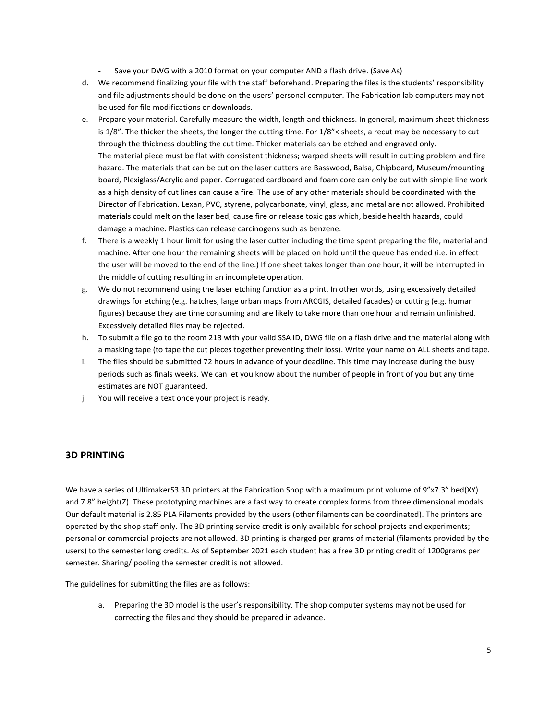- Save your DWG with a 2010 format on your computer AND a flash drive. (Save As)
- d. We recommend finalizing your file with the staff beforehand. Preparing the files is the students' responsibility and file adjustments should be done on the users' personal computer. The Fabrication lab computers may not be used for file modifications or downloads.
- e. Prepare your material. Carefully measure the width, length and thickness. In general, maximum sheet thickness is 1/8". The thicker the sheets, the longer the cutting time. For 1/8"< sheets, a recut may be necessary to cut through the thickness doubling the cut time. Thicker materials can be etched and engraved only. The material piece must be flat with consistent thickness; warped sheets will result in cutting problem and fire hazard. The materials that can be cut on the laser cutters are Basswood, Balsa, Chipboard, Museum/mounting board, Plexiglass/Acrylic and paper. Corrugated cardboard and foam core can only be cut with simple line work as a high density of cut lines can cause a fire. The use of any other materials should be coordinated with the Director of Fabrication. Lexan, PVC, styrene, polycarbonate, vinyl, glass, and metal are not allowed. Prohibited materials could melt on the laser bed, cause fire or release toxic gas which, beside health hazards, could damage a machine. Plastics can release carcinogens such as benzene.
- f. There is a weekly 1 hour limit for using the laser cutter including the time spent preparing the file, material and machine. After one hour the remaining sheets will be placed on hold until the queue has ended (i.e. in effect the user will be moved to the end of the line.) If one sheet takes longer than one hour, it will be interrupted in the middle of cutting resulting in an incomplete operation.
- g. We do not recommend using the laser etching function as a print. In other words, using excessively detailed drawings for etching (e.g. hatches, large urban maps from ARCGIS, detailed facades) or cutting (e.g. human figures) because they are time consuming and are likely to take more than one hour and remain unfinished. Excessively detailed files may be rejected.
- h. To submit a file go to the room 213 with your valid SSA ID, DWG file on a flash drive and the material along with a masking tape (to tape the cut pieces together preventing their loss). Write your name on ALL sheets and tape.
- i. The files should be submitted 72 hours in advance of your deadline. This time may increase during the busy periods such as finals weeks. We can let you know about the number of people in front of you but any time estimates are NOT guaranteed.
- j. You will receive a text once your project is ready.

#### <span id="page-4-0"></span>**3D PRINTING**

We have a series of UltimakerS3 3D printers at the Fabrication Shop with a maximum print volume of 9"x7.3" bed(XY) and 7.8" height(Z). These prototyping machines are a fast way to create complex forms from three dimensional modals. Our default material is 2.85 PLA Filaments provided by the users (other filaments can be coordinated). The printers are operated by the shop staff only. The 3D printing service credit is only available for school projects and experiments; personal or commercial projects are not allowed. 3D printing is charged per grams of material (filaments provided by the users) to the semester long credits. As of September 2021 each student has a free 3D printing credit of 1200grams per semester. Sharing/ pooling the semester credit is not allowed.

The guidelines for submitting the files are as follows:

a. Preparing the 3D model is the user's responsibility. The shop computer systems may not be used for correcting the files and they should be prepared in advance.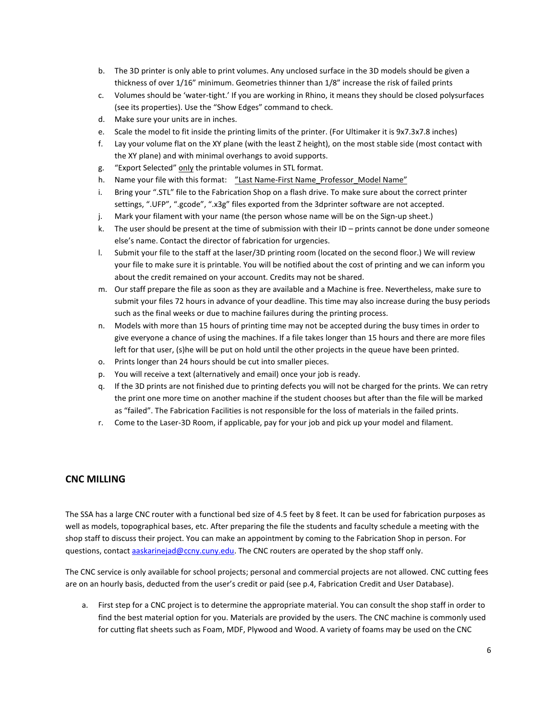- b. The 3D printer is only able to print volumes. Any unclosed surface in the 3D models should be given a thickness of over 1/16" minimum. Geometries thinner than 1/8" increase the risk of failed prints
- c. Volumes should be 'water-tight.' If you are working in Rhino, it means they should be closed polysurfaces (see its properties). Use the "Show Edges" command to check.
- d. Make sure your units are in inches.
- e. Scale the model to fit inside the printing limits of the printer. (For Ultimaker it is 9x7.3x7.8 inches)
- f. Lay your volume flat on the XY plane (with the least Z height), on the most stable side (most contact with the XY plane) and with minimal overhangs to avoid supports.
- g. "Export Selected" only the printable volumes in STL format.
- h. Name your file with this format: "Last Name-First Name\_Professor\_Model Name"
- i. Bring your ".STL" file to the Fabrication Shop on a flash drive. To make sure about the correct printer settings, ".UFP", ".gcode", ".x3g" files exported from the 3dprinter software are not accepted.
- j. Mark your filament with your name (the person whose name will be on the Sign-up sheet.)
- k. The user should be present at the time of submission with their ID prints cannot be done under someone else's name. Contact the director of fabrication for urgencies.
- l. Submit your file to the staff at the laser/3D printing room (located on the second floor.) We will review your file to make sure it is printable. You will be notified about the cost of printing and we can inform you about the credit remained on your account. Credits may not be shared.
- m. Our staff prepare the file as soon as they are available and a Machine is free. Nevertheless, make sure to submit your files 72 hours in advance of your deadline. This time may also increase during the busy periods such as the final weeks or due to machine failures during the printing process.
- n. Models with more than 15 hours of printing time may not be accepted during the busy times in order to give everyone a chance of using the machines. If a file takes longer than 15 hours and there are more files left for that user, (s)he will be put on hold until the other projects in the queue have been printed.
- o. Prints longer than 24 hours should be cut into smaller pieces.
- p. You will receive a text (alternatively and email) once your job is ready.
- q. If the 3D prints are not finished due to printing defects you will not be charged for the prints. We can retry the print one more time on another machine if the student chooses but after than the file will be marked as "failed". The Fabrication Facilities is not responsible for the loss of materials in the failed prints.
- r. Come to the Laser-3D Room, if applicable, pay for your job and pick up your model and filament.

#### <span id="page-5-0"></span>**CNC MILLING**

The SSA has a large CNC router with a functional bed size of 4.5 feet by 8 feet. It can be used for fabrication purposes as well as models, topographical bases, etc. After preparing the file the students and faculty schedule a meeting with the shop staff to discuss their project. You can make an appointment by coming to the Fabrication Shop in person. For questions, contact [aaskarinejad@ccny.cuny.edu.](mailto:aaskarinejad@ccny.cuny.edu) The CNC routers are operated by the shop staff only.

The CNC service is only available for school projects; personal and commercial projects are not allowed. CNC cutting fees are on an hourly basis, deducted from the user's credit or paid (see p.4, Fabrication Credit and User Database).

a. First step for a CNC project is to determine the appropriate material. You can consult the shop staff in order to find the best material option for you. Materials are provided by the users. The CNC machine is commonly used for cutting flat sheets such as Foam, MDF, Plywood and Wood. A variety of foams may be used on the CNC